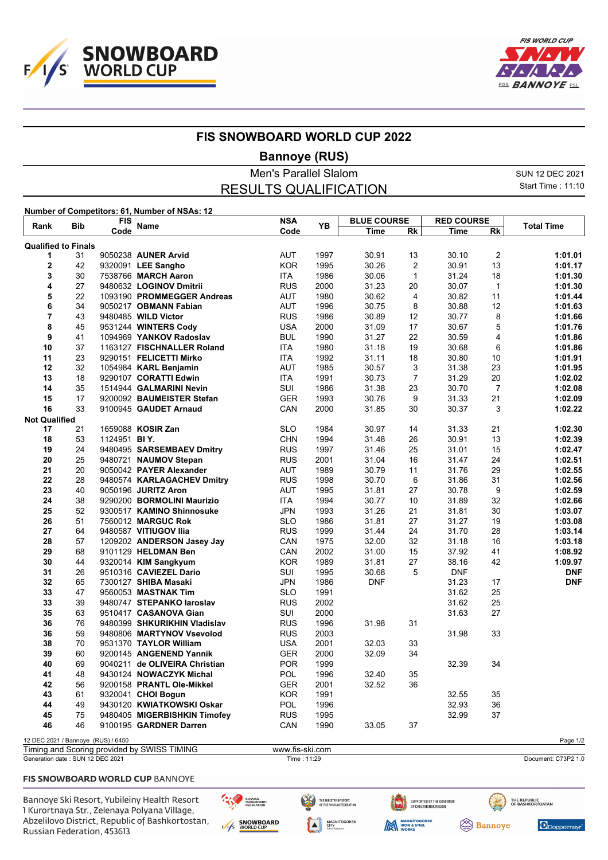



## **FIS SNOWBOARD WORLD CUP 2022**

**Bannoye (RUS)**

Men's Parallel Slalom SUN 12 DEC 2021 Start Time : 11:10 RESULTS QUALIFICATION **Number of Competitors: 61, Number of NSAs: 12 Rank Bib FIS Name NSA Code Time BLUE COURSE Rk Time RED COURSE Reference Manne Code PB <u>The Rk Time Rk</u> <b>Total Time Qualified to Finals** 31 9050238 **AUNER Arvid** AUT 1997 30.91 13 30.10 2 **1:01.01** 42 9320091 **LEE Sangho** KOR 1995 30.26 2 30.91 13 **1:01.17 7538766 MARCH Aaron**  27 9480632 **LOGINOV Dmitrii** RUS 2000 31.23 20 30.07 1 **1:01.30** 22 1093190 **PROMMEGGER Andreas** AUT 1980 30.62 4 30.82 11 **1:01.44 OBMANN Fabian**  43 9480485 **WILD Victor** RUS 1986 30.89 12 30.77 8 **1:01.66** 45 9531244 **WINTERS Cody** USA 2000 31.09 17 30.67 5 **1:01.76** 41 1094969 **YANKOV Radoslav** BUL 1990 31.27 22 30.59 4 **1:01.86** 37 1163127 **FISCHNALLER Roland** ITA 1980 31.18 19 30.68 6 **1:01.86**

| 8                                  | 45 |              | 9531244 WINTERS Cody                        | USA             | 2000 | 31.09      | 17 | 30.67      | 5              | 1:01.76    |
|------------------------------------|----|--------------|---------------------------------------------|-----------------|------|------------|----|------------|----------------|------------|
| 9                                  | 41 |              | 1094969 YANKOV Radoslav                     | <b>BUL</b>      | 1990 | 31.27      | 22 | 30.59      | 4              | 1:01.86    |
| 10                                 | 37 |              | 1163127 FISCHNALLER Roland                  | <b>ITA</b>      | 1980 | 31.18      | 19 | 30.68      | 6              | 1:01.86    |
| 11                                 | 23 |              | 9290151 FELICETTI Mirko                     | <b>ITA</b>      | 1992 | 31.11      | 18 | 30.80      | 10             | 1:01.91    |
| 12                                 | 32 |              | 1054984 KARL Benjamin                       | <b>AUT</b>      | 1985 | 30.57      | 3  | 31.38      | 23             | 1:01.95    |
| 13                                 | 18 |              | 9290107 CORATTI Edwin                       | <b>ITA</b>      | 1991 | 30.73      | 7  | 31.29      | 20             | 1:02.02    |
| 14                                 | 35 |              | 1514944 GALMARINI Nevin                     | SUI             | 1986 | 31.38      | 23 | 30.70      | $\overline{7}$ | 1:02.08    |
| 15                                 | 17 |              | 9200092 BAUMEISTER Stefan                   | <b>GER</b>      | 1993 | 30.76      | 9  | 31.33      | 21             | 1:02.09    |
| 16                                 | 33 |              | 9100945 GAUDET Arnaud                       | CAN             | 2000 | 31.85      | 30 | 30.37      | 3              | 1:02.22    |
| <b>Not Qualified</b>               |    |              |                                             |                 |      |            |    |            |                |            |
| 17                                 | 21 |              | 1659088 KOSIR Zan                           | <b>SLO</b>      | 1984 | 30.97      | 14 | 31.33      | 21             | 1:02.30    |
| 18                                 | 53 | 1124951 BIY. |                                             | <b>CHN</b>      | 1994 | 31.48      | 26 | 30.91      | 13             | 1:02.39    |
| 19                                 | 24 |              | 9480495 SARSEMBAEV Dmitry                   | <b>RUS</b>      | 1997 | 31.46      | 25 | 31.01      | 15             | 1:02.47    |
| 20                                 | 25 |              | 9480721 NAUMOV Stepan                       | <b>RUS</b>      | 2001 | 31.04      | 16 | 31.47      | 24             | 1:02.51    |
| 21                                 | 20 |              | 9050042 PAYER Alexander                     | <b>AUT</b>      | 1989 | 30.79      | 11 | 31.76      | 29             | 1:02.55    |
| 22                                 | 28 |              | 9480574 KARLAGACHEV Dmitry                  | <b>RUS</b>      | 1998 | 30.70      | 6  | 31.86      | 31             | 1:02.56    |
| 23                                 | 40 |              | 9050196 JURITZ Aron                         | <b>AUT</b>      | 1995 | 31.81      | 27 | 30.78      | 9              | 1:02.59    |
| 24                                 | 38 |              | 9290200 BORMOLINI Maurizio                  | <b>ITA</b>      | 1994 | 30.77      | 10 | 31.89      | 32             | 1:02.66    |
| 25                                 | 52 |              | 9300517 KAMINO Shinnosuke                   | <b>JPN</b>      | 1993 | 31.26      | 21 | 31.81      | 30             | 1:03.07    |
| 26                                 | 51 |              | 7560012 MARGUC Rok                          | <b>SLO</b>      | 1986 | 31.81      | 27 | 31.27      | 19             | 1:03.08    |
| 27                                 | 64 |              | 9480587 VITIUGOV IIIa                       | <b>RUS</b>      | 1999 | 31.44      | 24 | 31.70      | 28             | 1:03.14    |
| 28                                 | 57 |              | 1209202 ANDERSON Jasey Jay                  | CAN             | 1975 | 32.00      | 32 | 31.18      | 16             | 1:03.18    |
| 29                                 | 68 |              | 9101129 HELDMAN Ben                         | CAN             | 2002 | 31.00      | 15 | 37.92      | 41             | 1:08.92    |
| 30                                 | 44 |              | 9320014 KIM Sangkyum                        | <b>KOR</b>      | 1989 | 31.81      | 27 | 38.16      | 42             | 1:09.97    |
| 31                                 | 26 |              | 9510316 CAVIEZEL Dario                      | SUI             | 1995 | 30.68      | 5  | <b>DNF</b> |                | <b>DNF</b> |
| 32                                 | 65 |              | 7300127 SHIBA Masaki                        | <b>JPN</b>      | 1986 | <b>DNF</b> |    | 31.23      | 17             | <b>DNF</b> |
| 33                                 | 47 |              | 9560053 MASTNAK Tim                         | <b>SLO</b>      | 1991 |            |    | 31.62      | 25             |            |
| 33                                 | 39 |              | 9480747 STEPANKO laroslav                   | <b>RUS</b>      | 2002 |            |    | 31.62      | 25             |            |
| 35                                 | 63 |              | 9510417 CASANOVA Gian                       | SUI             | 2000 |            |    | 31.63      | 27             |            |
| 36                                 | 76 |              | 9480399 SHKURIKHIN Vladislav                | <b>RUS</b>      | 1996 | 31.98      | 31 |            |                |            |
| 36                                 | 59 |              | 9480806 MARTYNOV Vsevolod                   | <b>RUS</b>      | 2003 |            |    | 31.98      | 33             |            |
| 38                                 | 70 |              | 9531370 TAYLOR William                      | <b>USA</b>      | 2001 | 32.03      | 33 |            |                |            |
| 39                                 | 60 |              | 9200145 ANGENEND Yannik                     | <b>GER</b>      | 2000 | 32.09      | 34 |            |                |            |
| 40                                 | 69 |              | 9040211 de OLIVEIRA Christian               | <b>POR</b>      | 1999 |            |    | 32.39      | 34             |            |
| 41                                 | 48 |              | 9430124 NOWACZYK Michal                     | <b>POL</b>      | 1996 | 32.40      | 35 |            |                |            |
| 42                                 | 56 |              | 9200158 PRANTL Ole-Mikkel                   | <b>GER</b>      | 2001 | 32.52      | 36 |            |                |            |
| 43                                 | 61 |              | 9320041 CHOI Bogun                          | <b>KOR</b>      | 1991 |            |    | 32.55      | 35             |            |
| 44                                 | 49 |              | 9430120 KWIATKOWSKI Oskar                   | <b>POL</b>      | 1996 |            |    | 32.93      | 36             |            |
| 45                                 | 75 |              | 9480405 MIGERBISHKIN Timofey                | <b>RUS</b>      | 1995 |            |    | 32.99      | 37             |            |
| 46                                 | 46 |              | 9100195 GARDNER Darren                      | CAN             | 1990 | 33.05      | 37 |            |                |            |
| 12 DEC 2021 / Bannoye (RUS) / 6450 |    |              |                                             |                 |      |            |    |            |                | Page 1/2   |
|                                    |    |              | Timing and Scoring provided by SWISS TIMING | www.fis-ski.com |      |            |    |            |                |            |
|                                    |    |              |                                             |                 |      |            |    |            |                |            |

Generation date : SUN 12 DEC 2021 Time : 11:29 Document: C73P2 1.0

## FIS SNOWBOARD WORLD CUP BANNOYE

Bannoye Ski Resort, Yubileiny Health Resort 1 Kurortnaya Str., Zelenaya Polyana Village, Abzelilovo District, Republic of Bashkortostan, Russian Federation, 453613

RUSSIAN<br>SNOWBOARD<br>FEDERATION E/I/S SNOWBOARD



SUPPORTED BY THE GOVERNOR<br>OF CHELYABINSK REGION

**Sannoye** 



**THE REPUBLIC<br>OF BASHKORTOATAN**